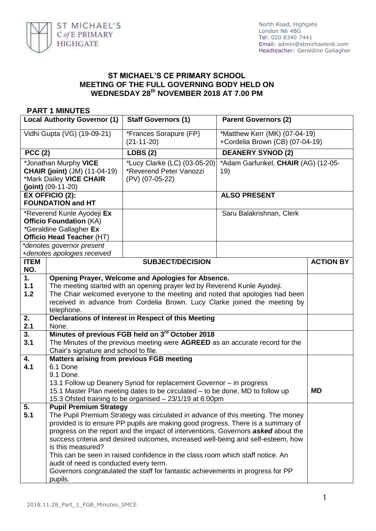

## **ST MICHAEL'S CE PRIMARY SCHOOL MEETING OF THE FULL GOVERNING BODY HELD ON WEDNESDAY 28th NOVEMBER 2018 AT 7.00 PM**

## **PART 1 MINUTES**

| <b>Local Authority Governor (1)</b>                                                                                                               |                                                                                                                                                                                                                                                                                                                                                                                                                                                                                                                                                                                                                                    | <b>Staff Governors (1)</b>                                                                                                                                                                                                                                                                    | <b>Parent Governors (2)</b>                                      |                  |
|---------------------------------------------------------------------------------------------------------------------------------------------------|------------------------------------------------------------------------------------------------------------------------------------------------------------------------------------------------------------------------------------------------------------------------------------------------------------------------------------------------------------------------------------------------------------------------------------------------------------------------------------------------------------------------------------------------------------------------------------------------------------------------------------|-----------------------------------------------------------------------------------------------------------------------------------------------------------------------------------------------------------------------------------------------------------------------------------------------|------------------------------------------------------------------|------------------|
| Vidhi Gupta (VG) (19-09-21)                                                                                                                       |                                                                                                                                                                                                                                                                                                                                                                                                                                                                                                                                                                                                                                    | *Frances Sorapure (FP)<br>$(21-11-20)$                                                                                                                                                                                                                                                        | *Matthew Kerr (MK) (07-04-19)<br>+Cordelia Brown (CB) (07-04-19) |                  |
| <b>PCC (2)</b>                                                                                                                                    |                                                                                                                                                                                                                                                                                                                                                                                                                                                                                                                                                                                                                                    | <b>LDBS (2)</b>                                                                                                                                                                                                                                                                               | <b>DEANERY SYNOD (2)</b>                                         |                  |
| *Jonathan Murphy VICE<br><b>CHAIR (joint)</b> (JM) (11-04-19)<br>*Mark Dailey VICE CHAIR<br>$(joint)$ (09-11-20)                                  |                                                                                                                                                                                                                                                                                                                                                                                                                                                                                                                                                                                                                                    | *Lucy Clarke (LC) (03-05-20)<br>*Reverend Peter Vanozzi<br>(PV) (07-05-22)                                                                                                                                                                                                                    | *Adam Garfunkel, CHAIR (AG) (12-05-<br>19)                       |                  |
| <b>EX OFFICIO (2):</b><br><b>FOUNDATION and HT</b>                                                                                                |                                                                                                                                                                                                                                                                                                                                                                                                                                                                                                                                                                                                                                    |                                                                                                                                                                                                                                                                                               | <b>ALSO PRESENT</b>                                              |                  |
| *Reverend Kunle Ayodeji Ex<br><b>Officio Foundation (KA)</b><br>*Geraldine Gallagher Ex<br>Officio Head Teacher (HT)<br>*denotes governor present |                                                                                                                                                                                                                                                                                                                                                                                                                                                                                                                                                                                                                                    |                                                                                                                                                                                                                                                                                               | Saru Balakrishnan, Clerk                                         |                  |
|                                                                                                                                                   | +denotes apologies received                                                                                                                                                                                                                                                                                                                                                                                                                                                                                                                                                                                                        |                                                                                                                                                                                                                                                                                               |                                                                  |                  |
| <b>ITEM</b><br>NO.                                                                                                                                |                                                                                                                                                                                                                                                                                                                                                                                                                                                                                                                                                                                                                                    | <b>SUBJECT/DECISION</b>                                                                                                                                                                                                                                                                       |                                                                  | <b>ACTION BY</b> |
| 1.<br>1.1<br>1.2                                                                                                                                  | telephone.                                                                                                                                                                                                                                                                                                                                                                                                                                                                                                                                                                                                                         | Opening Prayer, Welcome and Apologies for Absence.<br>The meeting started with an opening prayer led by Reverend Kunle Ayodeji.<br>The Chair welcomed everyone to the meeting and noted that apologies had been<br>received in advance from Cordelia Brown. Lucy Clarke joined the meeting by |                                                                  |                  |
| 2.<br>2.1                                                                                                                                         | None.                                                                                                                                                                                                                                                                                                                                                                                                                                                                                                                                                                                                                              | Declarations of Interest in Respect of this Meeting                                                                                                                                                                                                                                           |                                                                  |                  |
| 3.<br>3.1                                                                                                                                         |                                                                                                                                                                                                                                                                                                                                                                                                                                                                                                                                                                                                                                    | Minutes of previous FGB held on 3rd October 2018<br>The Minutes of the previous meeting were AGREED as an accurate record for the<br>Chair's signature and school to file.                                                                                                                    |                                                                  |                  |
| 4.<br>4.1                                                                                                                                         | <b>Matters arising from previous FGB meeting</b><br>6.1 Done<br>9.1 Done.<br>13.1 Follow up Deanery Synod for replacement Governor - in progress<br>15.1 Master Plan meeting dates to be circulated – to be done, MD to follow up<br><b>MD</b><br>15.3 Ofsted training to be organised - 23/1/19 at 6:00pm                                                                                                                                                                                                                                                                                                                         |                                                                                                                                                                                                                                                                                               |                                                                  |                  |
| 5.<br>5.1                                                                                                                                         | <b>Pupil Premium Strategy</b><br>The Pupil Premium Strategy was circulated in advance of this meeting. The money<br>provided is to ensure PP pupils are making good progress. There is a summary of<br>progress on the report and the impact of interventions. Governors <b>asked</b> about the<br>success criteria and desired outcomes, increased well-being and self-esteem, how<br>is this measured?<br>This can be seen in raised confidence in the class room which staff notice. An<br>audit of need is conducted every term.<br>Governors congratulated the staff for fantastic achievements in progress for PP<br>pupils. |                                                                                                                                                                                                                                                                                               |                                                                  |                  |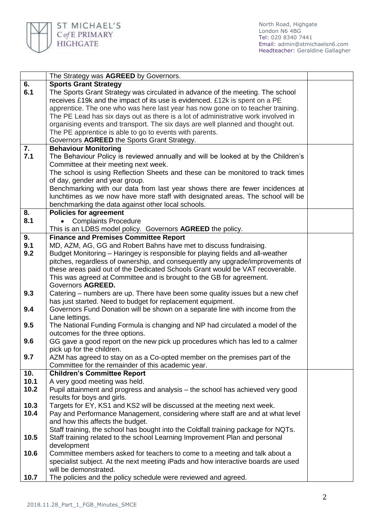

|      | The Strategy was AGREED by Governors.                                                                                                                 |  |
|------|-------------------------------------------------------------------------------------------------------------------------------------------------------|--|
| 6.   | <b>Sports Grant Strategy</b>                                                                                                                          |  |
| 6.1  | The Sports Grant Strategy was circulated in advance of the meeting. The school                                                                        |  |
|      | receives £19k and the impact of its use is evidenced. £12k is spent on a PE                                                                           |  |
|      | apprentice. The one who was here last year has now gone on to teacher training.                                                                       |  |
|      | The PE Lead has six days out as there is a lot of administrative work involved in                                                                     |  |
|      | organising events and transport. The six days are well planned and thought out.                                                                       |  |
|      | The PE apprentice is able to go to events with parents.                                                                                               |  |
|      | Governors AGREED the Sports Grant Strategy.                                                                                                           |  |
| 7.   | <b>Behaviour Monitoring</b>                                                                                                                           |  |
| 7.1  | The Behaviour Policy is reviewed annually and will be looked at by the Children's                                                                     |  |
|      | Committee at their meeting next week.                                                                                                                 |  |
|      | The school is using Reflection Sheets and these can be monitored to track times                                                                       |  |
|      | of day, gender and year group.                                                                                                                        |  |
|      | Benchmarking with our data from last year shows there are fewer incidences at                                                                         |  |
|      | lunchtimes as we now have more staff with designated areas. The school will be                                                                        |  |
|      | benchmarking the data against other local schools.                                                                                                    |  |
| 8.   | <b>Policies for agreement</b>                                                                                                                         |  |
| 8.1  | <b>Complaints Procedure</b><br>$\bullet$                                                                                                              |  |
|      | This is an LDBS model policy. Governors AGREED the policy.                                                                                            |  |
| 9.   | <b>Finance and Premises Committee Report</b>                                                                                                          |  |
| 9.1  | MD, AZM, AG, GG and Robert Bahns have met to discuss fundraising.                                                                                     |  |
| 9.2  | Budget Monitoring - Haringey is responsible for playing fields and all-weather                                                                        |  |
|      | pitches, regardless of ownership, and consequently any upgrade/improvements of                                                                        |  |
|      | these areas paid out of the Dedicated Schools Grant would be VAT recoverable.<br>This was agreed at Committee and is brought to the GB for agreement. |  |
|      | Governors AGREED.                                                                                                                                     |  |
| 9.3  | Catering – numbers are up. There have been some quality issues but a new chef                                                                         |  |
|      | has just started. Need to budget for replacement equipment.                                                                                           |  |
| 9.4  | Governors Fund Donation will be shown on a separate line with income from the                                                                         |  |
|      | Lane lettings.                                                                                                                                        |  |
| 9.5  | The National Funding Formula is changing and NP had circulated a model of the                                                                         |  |
|      | outcomes for the three options.                                                                                                                       |  |
| 9.6  | GG gave a good report on the new pick up procedures which has led to a calmer                                                                         |  |
|      | pick up for the children.                                                                                                                             |  |
| 9.7  | AZM has agreed to stay on as a Co-opted member on the premises part of the                                                                            |  |
|      | Committee for the remainder of this academic year.                                                                                                    |  |
| 10.  | <b>Children's Committee Report</b>                                                                                                                    |  |
| 10.1 | A very good meeting was held.                                                                                                                         |  |
| 10.2 | Pupil attainment and progress and analysis – the school has achieved very good                                                                        |  |
|      | results for boys and girls.                                                                                                                           |  |
| 10.3 | Targets for EY, KS1 and KS2 will be discussed at the meeting next week.                                                                               |  |
| 10.4 | Pay and Performance Management, considering where staff are and at what level                                                                         |  |
|      | and how this affects the budget.                                                                                                                      |  |
|      | Staff training, the school has bought into the Coldfall training package for NQTs.                                                                    |  |
| 10.5 | Staff training related to the school Learning Improvement Plan and personal                                                                           |  |
|      | development                                                                                                                                           |  |
| 10.6 | Committee members asked for teachers to come to a meeting and talk about a                                                                            |  |
|      | specialist subject. At the next meeting iPads and how interactive boards are used                                                                     |  |
|      | will be demonstrated.                                                                                                                                 |  |
| 10.7 | The policies and the policy schedule were reviewed and agreed.                                                                                        |  |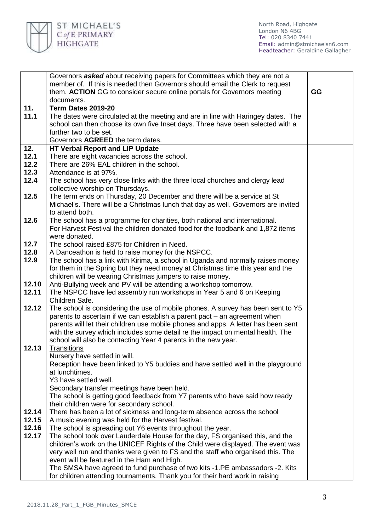

|       | Governors asked about receiving papers for Committees which they are not a                                                                                    |    |
|-------|---------------------------------------------------------------------------------------------------------------------------------------------------------------|----|
|       | member of. If this is needed then Governors should email the Clerk to request                                                                                 |    |
|       | them. ACTION GG to consider secure online portals for Governors meeting                                                                                       | GG |
|       | documents.                                                                                                                                                    |    |
| 11.   | Term Dates 2019-20                                                                                                                                            |    |
| 11.1  | The dates were circulated at the meeting and are in line with Haringey dates. The                                                                             |    |
|       | school can then choose its own five Inset days. Three have been selected with a                                                                               |    |
|       | further two to be set.                                                                                                                                        |    |
|       | Governors AGREED the term dates.                                                                                                                              |    |
| 12.   | <b>HT Verbal Report and LIP Update</b>                                                                                                                        |    |
| 12.1  | There are eight vacancies across the school.                                                                                                                  |    |
| 12.2  | There are 26% EAL children in the school.                                                                                                                     |    |
| 12.3  | Attendance is at 97%.                                                                                                                                         |    |
| 12.4  | The school has very close links with the three local churches and clergy lead                                                                                 |    |
|       | collective worship on Thursdays.                                                                                                                              |    |
| 12.5  | The term ends on Thursday, 20 December and there will be a service at St                                                                                      |    |
|       | Michael's. There will be a Christmas lunch that day as well. Governors are invited                                                                            |    |
| 12.6  | to attend both.                                                                                                                                               |    |
|       | The school has a programme for charities, both national and international.<br>For Harvest Festival the children donated food for the foodbank and 1,872 items |    |
|       | were donated.                                                                                                                                                 |    |
| 12.7  | The school raised £875 for Children in Need.                                                                                                                  |    |
| 12.8  | A Danceathon is held to raise money for the NSPCC.                                                                                                            |    |
| 12.9  | The school has a link with Kirima, a school in Uganda and normally raises money                                                                               |    |
|       | for them in the Spring but they need money at Christmas time this year and the                                                                                |    |
|       | children will be wearing Christmas jumpers to raise money.                                                                                                    |    |
| 12.10 | Anti-Bullying week and PV will be attending a workshop tomorrow.                                                                                              |    |
| 12.11 | The NSPCC have led assembly run workshops in Year 5 and 6 on Keeping                                                                                          |    |
|       | Children Safe.                                                                                                                                                |    |
| 12.12 | The school is considering the use of mobile phones. A survey has been sent to Y5                                                                              |    |
|       | parents to ascertain if we can establish a parent pact – an agreement when                                                                                    |    |
|       | parents will let their children use mobile phones and apps. A letter has been sent                                                                            |    |
|       | with the survey which includes some detail re the impact on mental health. The                                                                                |    |
|       | school will also be contacting Year 4 parents in the new year.                                                                                                |    |
| 12.13 | <b>Transitions</b>                                                                                                                                            |    |
|       | Nursery have settled in will.                                                                                                                                 |    |
|       | Reception have been linked to Y5 buddies and have settled well in the playground<br>at lunchtimes.                                                            |    |
|       | Y3 have settled well.                                                                                                                                         |    |
|       | Secondary transfer meetings have been held.                                                                                                                   |    |
|       | The school is getting good feedback from Y7 parents who have said how ready                                                                                   |    |
|       | their children were for secondary school.                                                                                                                     |    |
| 12.14 | There has been a lot of sickness and long-term absence across the school                                                                                      |    |
| 12.15 | A music evening was held for the Harvest festival.                                                                                                            |    |
| 12.16 | The school is spreading out Y6 events throughout the year.                                                                                                    |    |
| 12.17 | The school took over Lauderdale House for the day, FS organised this, and the                                                                                 |    |
|       | children's work on the UNICEF Rights of the Child were displayed. The event was                                                                               |    |
|       | very well run and thanks were given to FS and the staff who organised this. The                                                                               |    |
|       | event will be featured in the Ham and High.                                                                                                                   |    |
|       | The SMSA have agreed to fund purchase of two kits -1.PE ambassadors -2. Kits                                                                                  |    |
|       | for children attending tournaments. Thank you for their hard work in raising                                                                                  |    |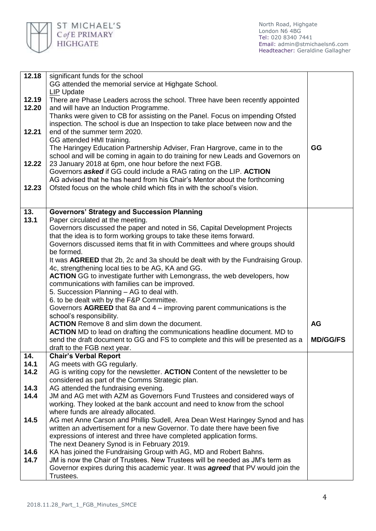

| 12.18 | significant funds for the school                                                                                                      |                                                                          |  |
|-------|---------------------------------------------------------------------------------------------------------------------------------------|--------------------------------------------------------------------------|--|
|       | GG attended the memorial service at Highgate School.                                                                                  |                                                                          |  |
|       | <b>LIP Update</b>                                                                                                                     |                                                                          |  |
| 12.19 | There are Phase Leaders across the school. Three have been recently appointed                                                         |                                                                          |  |
| 12.20 | and will have an Induction Programme.                                                                                                 |                                                                          |  |
|       | Thanks were given to CB for assisting on the Panel. Focus on impending Ofsted                                                         |                                                                          |  |
|       | inspection. The school is due an Inspection to take place between now and the                                                         |                                                                          |  |
| 12.21 | end of the summer term 2020.                                                                                                          |                                                                          |  |
|       | GG attended HMI training.                                                                                                             |                                                                          |  |
|       | The Haringey Education Partnership Adviser, Fran Hargrove, came in to the                                                             | GG                                                                       |  |
|       | school and will be coming in again to do training for new Leads and Governors on                                                      |                                                                          |  |
| 12.22 | 23 January 2018 at 6pm, one hour before the next FGB.                                                                                 |                                                                          |  |
|       | Governors <b>asked</b> if GG could include a RAG rating on the LIP. <b>ACTION</b>                                                     |                                                                          |  |
|       | AG advised that he has heard from his Chair's Mentor about the forthcoming                                                            |                                                                          |  |
| 12.23 | Ofsted focus on the whole child which fits in with the school's vision.                                                               |                                                                          |  |
|       |                                                                                                                                       |                                                                          |  |
|       |                                                                                                                                       |                                                                          |  |
| 13.   | <b>Governors' Strategy and Succession Planning</b>                                                                                    |                                                                          |  |
| 13.1  | Paper circulated at the meeting.                                                                                                      |                                                                          |  |
|       | Governors discussed the paper and noted in S6, Capital Development Projects                                                           |                                                                          |  |
|       | that the idea is to form working groups to take these items forward.                                                                  |                                                                          |  |
|       | Governors discussed items that fit in with Committees and where groups should                                                         |                                                                          |  |
|       | be formed.                                                                                                                            |                                                                          |  |
|       | It was AGREED that 2b, 2c and 3a should be dealt with by the Fundraising Group.                                                       |                                                                          |  |
|       | 4c, strengthening local ties to be AG, KA and GG.<br><b>ACTION</b> GG to investigate further with Lemongrass, the web developers, how |                                                                          |  |
|       | communications with families can be improved.                                                                                         |                                                                          |  |
|       | 5. Succession Planning - AG to deal with.                                                                                             |                                                                          |  |
|       | 6. to be dealt with by the F&P Committee.                                                                                             |                                                                          |  |
|       | Governors AGREED that 8a and 4 – improving parent communications is the                                                               |                                                                          |  |
|       | school's responsibility.                                                                                                              |                                                                          |  |
|       | <b>ACTION</b> Remove 8 and slim down the document.                                                                                    | <b>AG</b>                                                                |  |
|       | <b>ACTION</b> MD to lead on drafting the communications headline document. MD to                                                      |                                                                          |  |
|       | send the draft document to GG and FS to complete and this will be presented as a                                                      | <b>MD/GG/FS</b>                                                          |  |
|       | draft to the FGB next year.                                                                                                           |                                                                          |  |
| 14.   | <b>Chair's Verbal Report</b>                                                                                                          |                                                                          |  |
| 14.1  | AG meets with GG regularly.                                                                                                           |                                                                          |  |
| 14.2  | AG is writing copy for the newsletter. ACTION Content of the newsletter to be                                                         |                                                                          |  |
|       | considered as part of the Comms Strategic plan.                                                                                       |                                                                          |  |
| 14.3  | AG attended the fundraising evening.                                                                                                  |                                                                          |  |
| 14.4  |                                                                                                                                       | JM and AG met with AZM as Governors Fund Trustees and considered ways of |  |
|       | working. They looked at the bank account and need to know from the school                                                             |                                                                          |  |
|       | where funds are already allocated.                                                                                                    |                                                                          |  |
| 14.5  | AG met Anne Carson and Phillip Sudell, Area Dean West Haringey Synod and has                                                          |                                                                          |  |
|       | written an advertisement for a new Governor. To date there have been five                                                             |                                                                          |  |
|       | expressions of interest and three have completed application forms.                                                                   |                                                                          |  |
|       | The next Deanery Synod is in February 2019.                                                                                           |                                                                          |  |
| 14.6  | KA has joined the Fundraising Group with AG, MD and Robert Bahns.                                                                     |                                                                          |  |
| 14.7  | JM is now the Chair of Trustees. New Trustees will be needed as JM's term as                                                          |                                                                          |  |
|       | Governor expires during this academic year. It was <b>agreed</b> that PV would join the                                               |                                                                          |  |
|       | Trustees.                                                                                                                             |                                                                          |  |